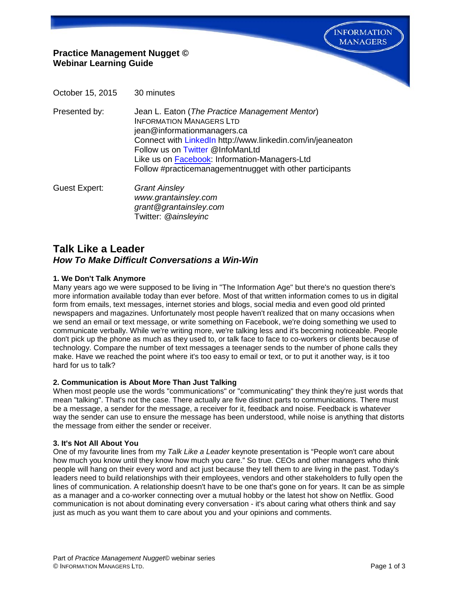**INFORMATION MANAGERS** 

# **Practice Management Nugget © Webinar Learning Guide**

October 15, 2015 30 minutes

Presented by: Jean L. Eaton (*The Practice Management Mentor*) INFORMATION MANAGERS LTD jean@informationmanagers.ca Connect with [LinkedIn](http://www.linkedin.com/in/jeaneaton) http://www.linkedin.com/in/jeaneaton Follow us on [Twitter](https://twitter.com/InfoManLtd) @InfoManLtd Like us on [Facebook:](https://www.facebook.com/pages/Information-Managers-Ltd/291303607725640) Information-Managers-Ltd Follow #practicemanagementnugget with other participants

Guest Expert: *Grant Ainsley www.grantainsley.com grant@grantainsley.com* Twitter: *@ainsleyinc*

# **Talk Like a Leader** *How To Make Difficult Conversations a Win-Win*

## **1. We Don't Talk Anymore**

Many years ago we were supposed to be living in "The Information Age" but there's no question there's more information available today than ever before. Most of that written information comes to us in digital form from emails, text messages, internet stories and blogs, social media and even good old printed newspapers and magazines. Unfortunately most people haven't realized that on many occasions when we send an email or text message, or write something on Facebook, we're doing something we used to communicate verbally. While we're writing more, we're talking less and it's becoming noticeable. People don't pick up the phone as much as they used to, or talk face to face to co-workers or clients because of technology. Compare the number of text messages a teenager sends to the number of phone calls they make. Have we reached the point where it's too easy to email or text, or to put it another way, is it too hard for us to talk?

## **2. Communication is About More Than Just Talking**

When most people use the words "communications" or "communicating" they think they're just words that mean "talking". That's not the case. There actually are five distinct parts to communications. There must be a message, a sender for the message, a receiver for it, feedback and noise. Feedback is whatever way the sender can use to ensure the message has been understood, while noise is anything that distorts the message from either the sender or receiver.

#### **3. It's Not All About You**

One of my favourite lines from my *Talk Like a Leader* keynote presentation is "People won't care about how much you know until they know how much you care." So true. CEOs and other managers who think people will hang on their every word and act just because they tell them to are living in the past. Today's leaders need to build relationships with their employees, vendors and other stakeholders to fully open the lines of communication. A relationship doesn't have to be one that's gone on for years. It can be as simple as a manager and a co-worker connecting over a mutual hobby or the latest hot show on Netflix. Good communication is not about dominating every conversation - it's about caring what others think and say just as much as you want them to care about you and your opinions and comments.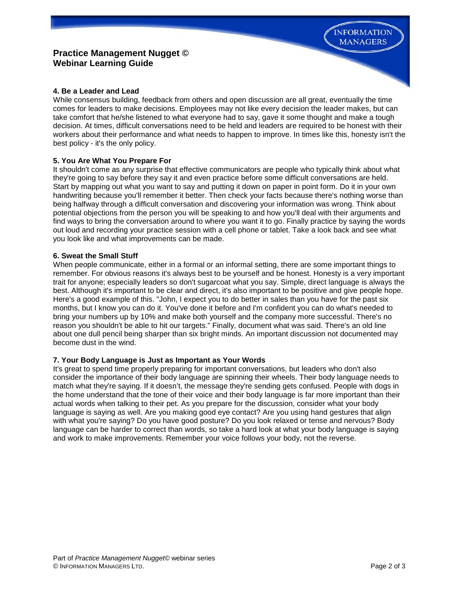# **Practice Management Nugget © Webinar Learning Guide**

## **4. Be a Leader and Lead**

While consensus building, feedback from others and open discussion are all great, eventually the time comes for leaders to make decisions. Employees may not like every decision the leader makes, but can take comfort that he/she listened to what everyone had to say, gave it some thought and make a tough decision. At times, difficult conversations need to be held and leaders are required to be honest with their workers about their performance and what needs to happen to improve. In times like this, honesty isn't the best policy - it's the only policy.

#### **5. You Are What You Prepare For**

It shouldn't come as any surprise that effective communicators are people who typically think about what they're going to say before they say it and even practice before some difficult conversations are held. Start by mapping out what you want to say and putting it down on paper in point form. Do it in your own handwriting because you'll remember it better. Then check your facts because there's nothing worse than being halfway through a difficult conversation and discovering your information was wrong. Think about potential objections from the person you will be speaking to and how you'll deal with their arguments and find ways to bring the conversation around to where you want it to go. Finally practice by saying the words out loud and recording your practice session with a cell phone or tablet. Take a look back and see what you look like and what improvements can be made.

#### **6. Sweat the Small Stuff**

When people communicate, either in a formal or an informal setting, there are some important things to remember. For obvious reasons it's always best to be yourself and be honest. Honesty is a very important trait for anyone; especially leaders so don't sugarcoat what you say. Simple, direct language is always the best. Although it's important to be clear and direct, it's also important to be positive and give people hope. Here's a good example of this. "John, I expect you to do better in sales than you have for the past six months, but I know you can do it. You've done it before and I'm confident you can do what's needed to bring your numbers up by 10% and make both yourself and the company more successful. There's no reason you shouldn't be able to hit our targets." Finally, document what was said. There's an old line about one dull pencil being sharper than six bright minds. An important discussion not documented may become dust in the wind.

## **7. Your Body Language is Just as Important as Your Words**

It's great to spend time properly preparing for important conversations, but leaders who don't also consider the importance of their body language are spinning their wheels. Their body language needs to match what they're saying. If it doesn't, the message they're sending gets confused. People with dogs in the home understand that the tone of their voice and their body language is far more important than their actual words when talking to their pet. As you prepare for the discussion, consider what your body language is saying as well. Are you making good eye contact? Are you using hand gestures that align with what you're saying? Do you have good posture? Do you look relaxed or tense and nervous? Body language can be harder to correct than words, so take a hard look at what your body language is saying and work to make improvements. Remember your voice follows your body, not the reverse.